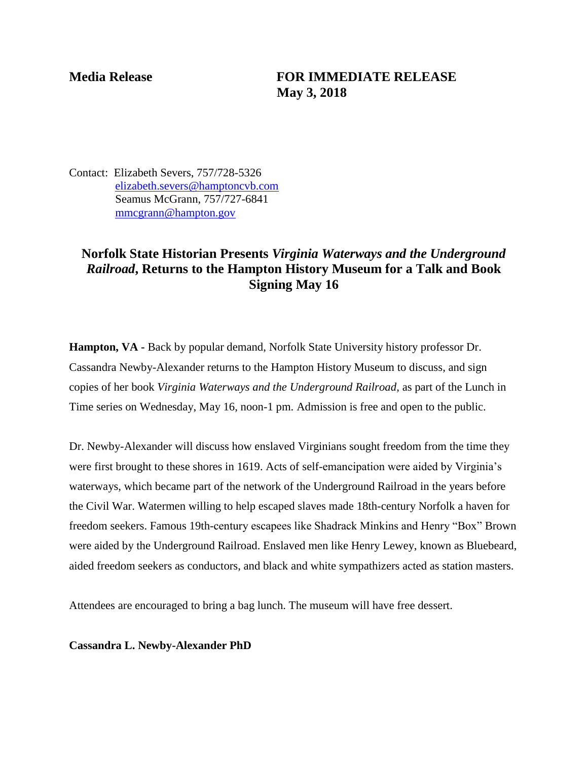## **Media Release FOR IMMEDIATE RELEASE May 3, 2018**

Contact: Elizabeth Severs, 757/728-5326 [elizabeth.severs@hamptoncvb.com](mailto:elizabeth.severs@hamptoncvb.com) Seamus McGrann, 757/727-6841 [mmcgrann@hampton.gov](mailto:mmcgrann@hampton.gov)

## **Norfolk State Historian Presents** *Virginia Waterways and the Underground Railroad***, Returns to the Hampton History Museum for a Talk and Book Signing May 16**

**Hampton, VA -** Back by popular demand, Norfolk State University history professor Dr. Cassandra Newby-Alexander returns to the Hampton History Museum to discuss, and sign copies of her book *Virginia Waterways and the Underground Railroad*, as part of the Lunch in Time series on Wednesday, May 16, noon-1 pm. Admission is free and open to the public.

Dr. Newby-Alexander will discuss how enslaved Virginians sought freedom from the time they were first brought to these shores in 1619. Acts of self-emancipation were aided by Virginia's waterways, which became part of the network of the Underground Railroad in the years before the Civil War. Watermen willing to help escaped slaves made 18th-century Norfolk a haven for freedom seekers. Famous 19th-century escapees like Shadrack Minkins and Henry "Box" Brown were aided by the Underground Railroad. Enslaved men like Henry Lewey, known as Bluebeard, aided freedom seekers as conductors, and black and white sympathizers acted as station masters.

Attendees are encouraged to bring a bag lunch. The museum will have free dessert.

**Cassandra L. Newby-Alexander PhD**